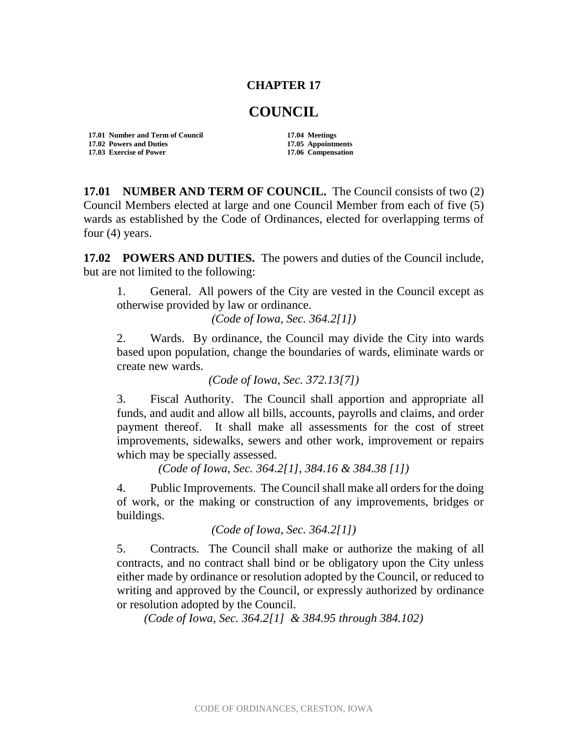## **CHAPTER 17**

## **COUNCIL**

**17.01 Number and Term of Council 17.04 Meetings 17.02 Powers and Duties 17.05 Appointments 17.03 Exercise of Power** 

**17.01 NUMBER AND TERM OF COUNCIL.** The Council consists of two (2) Council Members elected at large and one Council Member from each of five (5) wards as established by the Code of Ordinances, elected for overlapping terms of four (4) years.

**17.02 POWERS AND DUTIES.** The powers and duties of the Council include, but are not limited to the following:

1. General. All powers of the City are vested in the Council except as otherwise provided by law or ordinance.

*(Code of Iowa, Sec. 364.2[1])*

2. Wards. By ordinance, the Council may divide the City into wards based upon population, change the boundaries of wards, eliminate wards or create new wards.

*(Code of Iowa, Sec. 372.13[7])*

3. Fiscal Authority. The Council shall apportion and appropriate all funds, and audit and allow all bills, accounts, payrolls and claims, and order payment thereof. It shall make all assessments for the cost of street improvements, sidewalks, sewers and other work, improvement or repairs which may be specially assessed.

*(Code of Iowa, Sec. 364.2[1], 384.16 & 384.38 [1])*

4. Public Improvements. The Council shall make all orders for the doing of work, or the making or construction of any improvements, bridges or buildings.

*(Code of Iowa, Sec. 364.2[1])*

5. Contracts. The Council shall make or authorize the making of all contracts, and no contract shall bind or be obligatory upon the City unless either made by ordinance or resolution adopted by the Council, or reduced to writing and approved by the Council, or expressly authorized by ordinance or resolution adopted by the Council.

*(Code of Iowa, Sec. 364.2[1] & 384.95 through 384.102)*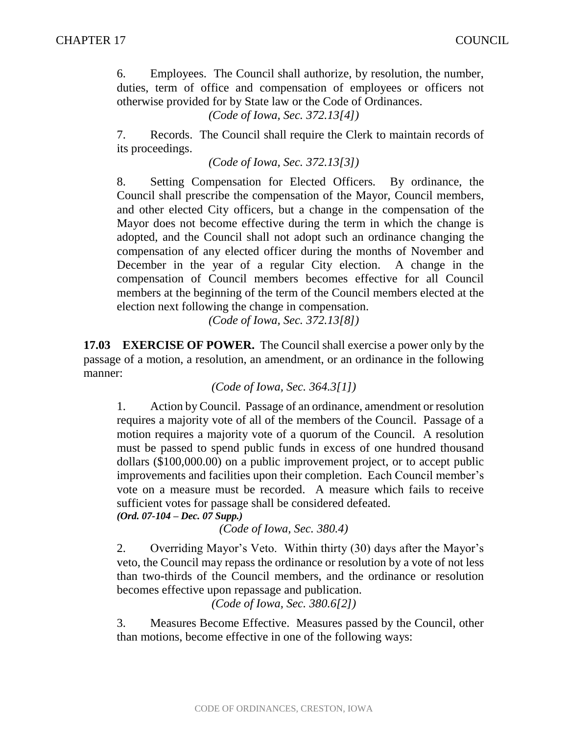6. Employees. The Council shall authorize, by resolution, the number, duties, term of office and compensation of employees or officers not otherwise provided for by State law or the Code of Ordinances.

*(Code of Iowa, Sec. 372.13[4])*

7. Records. The Council shall require the Clerk to maintain records of its proceedings.

*(Code of Iowa, Sec. 372.13[3])*

8. Setting Compensation for Elected Officers. By ordinance, the Council shall prescribe the compensation of the Mayor, Council members, and other elected City officers, but a change in the compensation of the Mayor does not become effective during the term in which the change is adopted, and the Council shall not adopt such an ordinance changing the compensation of any elected officer during the months of November and December in the year of a regular City election. A change in the compensation of Council members becomes effective for all Council members at the beginning of the term of the Council members elected at the election next following the change in compensation.

*(Code of Iowa, Sec. 372.13[8])*

**17.03 EXERCISE OF POWER.** The Council shall exercise a power only by the passage of a motion, a resolution, an amendment, or an ordinance in the following manner:

*(Code of Iowa, Sec. 364.3[1])*

1. Action by Council. Passage of an ordinance, amendment or resolution requires a majority vote of all of the members of the Council. Passage of a motion requires a majority vote of a quorum of the Council. A resolution must be passed to spend public funds in excess of one hundred thousand dollars (\$100,000.00) on a public improvement project, or to accept public improvements and facilities upon their completion. Each Council member's vote on a measure must be recorded. A measure which fails to receive sufficient votes for passage shall be considered defeated.

*(Ord. 07-104 – Dec. 07 Supp.)*

*(Code of Iowa, Sec. 380.4)*

2. Overriding Mayor's Veto. Within thirty (30) days after the Mayor's veto, the Council may repass the ordinance or resolution by a vote of not less than two-thirds of the Council members, and the ordinance or resolution becomes effective upon repassage and publication.

*(Code of Iowa, Sec. 380.6[2])*

3. Measures Become Effective. Measures passed by the Council, other than motions, become effective in one of the following ways: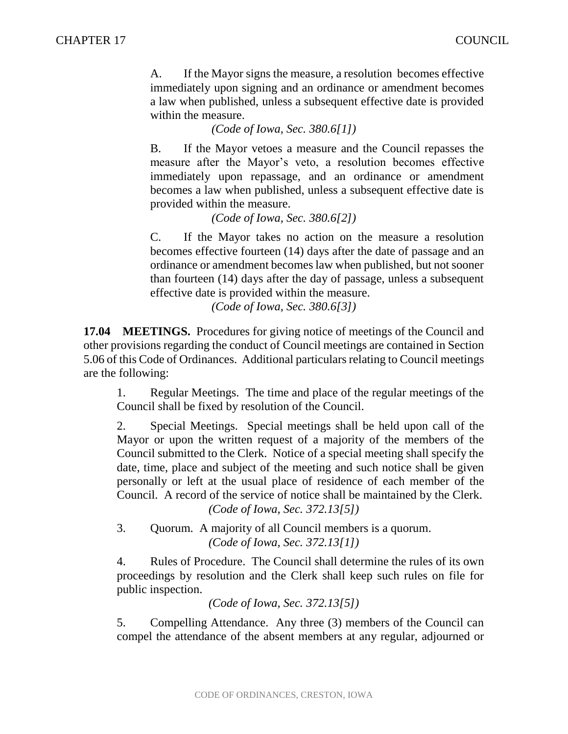A. If the Mayor signs the measure, a resolution becomes effective immediately upon signing and an ordinance or amendment becomes a law when published, unless a subsequent effective date is provided within the measure.

*(Code of Iowa, Sec. 380.6[1])*

B. If the Mayor vetoes a measure and the Council repasses the measure after the Mayor's veto, a resolution becomes effective immediately upon repassage, and an ordinance or amendment becomes a law when published, unless a subsequent effective date is provided within the measure.

*(Code of Iowa, Sec. 380.6[2])*

C. If the Mayor takes no action on the measure a resolution becomes effective fourteen (14) days after the date of passage and an ordinance or amendment becomes law when published, but not sooner than fourteen (14) days after the day of passage, unless a subsequent effective date is provided within the measure.

*(Code of Iowa, Sec. 380.6[3])*

**17.04 MEETINGS.** Procedures for giving notice of meetings of the Council and other provisions regarding the conduct of Council meetings are contained in Section 5.06 of this Code of Ordinances. Additional particulars relating to Council meetings are the following:

1. Regular Meetings. The time and place of the regular meetings of the Council shall be fixed by resolution of the Council.

2. Special Meetings. Special meetings shall be held upon call of the Mayor or upon the written request of a majority of the members of the Council submitted to the Clerk. Notice of a special meeting shall specify the date, time, place and subject of the meeting and such notice shall be given personally or left at the usual place of residence of each member of the Council. A record of the service of notice shall be maintained by the Clerk. *(Code of Iowa, Sec. 372.13[5])*

3. Quorum. A majority of all Council members is a quorum. *(Code of Iowa, Sec. 372.13[1])*

4. Rules of Procedure. The Council shall determine the rules of its own proceedings by resolution and the Clerk shall keep such rules on file for public inspection.

*(Code of Iowa, Sec. 372.13[5])*

5. Compelling Attendance. Any three (3) members of the Council can compel the attendance of the absent members at any regular, adjourned or